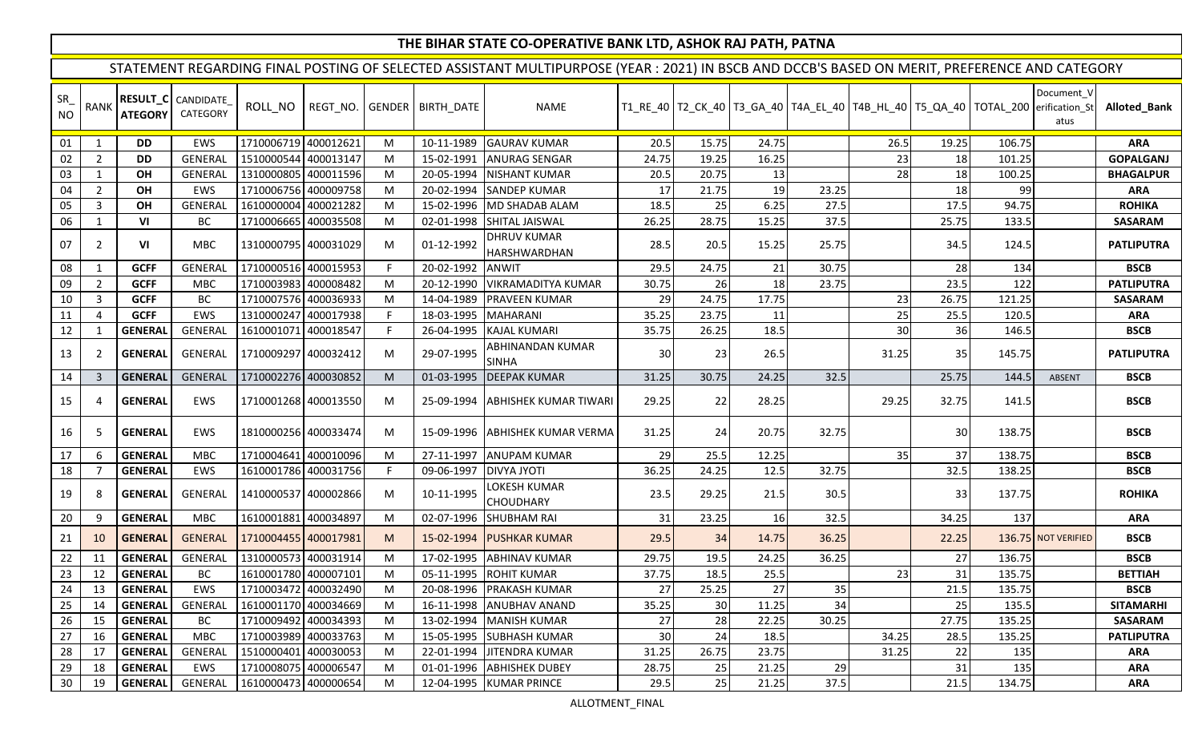| SR_<br><b>NO</b> | RANK           | <b>RESULT_C</b><br><b>ATEGORY</b> | CANDIDATE<br>CATEGORY | ROLL NO              | REGT NO.  |   | GENDER BIRTH DATE | <b>NAME</b>                        |       |       |       |       |       |       | T1_RE_40   T2_CK_40   T3_GA_40   T4A_EL_40   T4B_HL_40   T5_QA_40   TOTAL_200   erification_St | Document V<br>atus  | <b>Alloted Bank</b> |
|------------------|----------------|-----------------------------------|-----------------------|----------------------|-----------|---|-------------------|------------------------------------|-------|-------|-------|-------|-------|-------|------------------------------------------------------------------------------------------------|---------------------|---------------------|
| 01               | $\mathbf{1}$   | <b>DD</b>                         | EWS                   | 1710006719           | 400012621 | M | 10-11-1989        | <b>GAURAV KUMAR</b>                | 20.5  | 15.75 | 24.75 |       | 26.5  | 19.25 | 106.75                                                                                         |                     | <b>ARA</b>          |
| 02               | $\overline{2}$ | <b>DD</b>                         | GENERAL               | 1510000544           | 400013147 | M | 15-02-1991        | <b>ANURAG SENGAR</b>               | 24.75 | 19.25 | 16.25 |       | 23    | 18    | 101.25                                                                                         |                     | <b>GOPALGANJ</b>    |
| 03               | $\mathbf{1}$   | OH                                | <b>GENERAI</b>        | 1310000805           | 400011596 | M | 20-05-1994        | <b>NISHANT KUMAR</b>               | 20.5  | 20.75 | 13    |       | 28    | 18    | 100.25                                                                                         |                     | <b>BHAGALPUR</b>    |
| 04               | $\overline{2}$ | OH                                | <b>EWS</b>            | 1710006756           | 400009758 | M | 20-02-1994        | <b>SANDEP KUMAR</b>                | 17    | 21.75 | 19    | 23.25 |       | 18    | 99                                                                                             |                     | <b>ARA</b>          |
| 05               | 3              | OH                                | <b>GENERAI</b>        | 1610000004           | 400021282 | M | 15-02-1996        | MD SHADAB ALAM                     | 18.5  | 25    | 6.25  | 27.5  |       | 17.5  | 94.75                                                                                          |                     | <b>ROHIKA</b>       |
| 06               | $\mathbf{1}$   | VI                                | BC                    | 1710006665           | 400035508 | M | 02-01-1998        | SHITAL JAISWAL                     | 26.25 | 28.75 | 15.25 | 37.5  |       | 25.75 | 133.5                                                                                          |                     | <b>SASARAM</b>      |
| 07               | $\overline{2}$ | VI                                | MBC                   | 1310000795 400031029 |           | M | 01-12-1992        | <b>DHRUV KUMAR</b><br>HARSHWARDHAN | 28.5  | 20.5  | 15.25 | 25.75 |       | 34.5  | 124.5                                                                                          |                     | <b>PATLIPUTRA</b>   |
| 08               | $\mathbf{1}$   | <b>GCFF</b>                       | <b>GENERAL</b>        | 17100005161400015953 |           | F | 20-02-1992        | <b>ANWIT</b>                       | 29.5  | 24.75 | 21    | 30.75 |       | 28    | 134                                                                                            |                     | <b>BSCB</b>         |
| 09               | $2^{\circ}$    | <b>GCFF</b>                       | <b>MBC</b>            | 1710003983           | 400008482 | M | 20-12-1990        | <b>VIKRAMADITYA KUMAR</b>          | 30.75 | 26    | 18    | 23.75 |       | 23.5  | 122                                                                                            |                     | <b>PATLIPUTRA</b>   |
| 10               | $\mathbf{3}$   | <b>GCFF</b>                       | <b>BC</b>             | 1710007576           | 400036933 | M | 14-04-1989        | PRAVEEN KUMAR                      | 29    | 24.75 | 17.75 |       | 23    | 26.75 | 121.25                                                                                         |                     | <b>SASARAM</b>      |
| 11               | $\overline{4}$ | <b>GCFF</b>                       | EWS                   | 1310000247           | 400017938 | F | 18-03-1995        | <b>MAHARANI</b>                    | 35.25 | 23.75 | 11    |       | 25    | 25.5  | 120.5                                                                                          |                     | <b>ARA</b>          |
| 12               | -1             | <b>GENERAL</b>                    | GENERAL               | 1610001071           | 400018547 | F | 26-04-1995        | KAJAL KUMARI                       | 35.75 | 26.25 | 18.5  |       | 30    | 36    | 146.5                                                                                          |                     | <b>BSCB</b>         |
| 13               | 2              | <b>GENERAL</b>                    | <b>GENERAL</b>        | 1710009297           | 400032412 | M | 29-07-1995        | ABHINANDAN KUMAR<br>SINHA          | 30    | 23    | 26.5  |       | 31.25 | 35    | 145.75                                                                                         |                     | <b>PATLIPUTRA</b>   |
| 14               | 3              | <b>GENERAL</b>                    | <b>GENERAL</b>        | 1710002276           | 400030852 | M | 01-03-1995        | <b>DEEPAK KUMAR</b>                | 31.25 | 30.75 | 24.25 | 32.5  |       | 25.75 | 144.5                                                                                          | ABSENT              | <b>BSCB</b>         |
| 15               |                | <b>GENERAL</b>                    | <b>EWS</b>            | 1710001268 400013550 |           | M | 25-09-1994        | ABHISHEK KUMAR TIWARI              | 29.25 | 22    | 28.25 |       | 29.25 | 32.75 | 141.5                                                                                          |                     | <b>BSCB</b>         |
| 16               | 5              | <b>GENERAL</b>                    | <b>EWS</b>            | 1810000256 400033474 |           | M | 15-09-1996        | ABHISHEK KUMAR VERMA               | 31.25 | 24    | 20.75 | 32.75 |       | 30    | 138.75                                                                                         |                     | <b>BSCB</b>         |
| 17               | 6              | <b>GENERAL</b>                    | <b>MBC</b>            | 1710004641           | 400010096 | M | 27-11-1997        | <b>ANUPAM KUMAR</b>                | 29    | 25.5  | 12.25 |       | 35    | 37    | 138.75                                                                                         |                     | <b>BSCB</b>         |
| 18               |                | <b>GENERAL</b>                    | EWS                   | 1610001786 400031756 |           | F | 09-06-1997        | <b>DIVYA JYOTI</b>                 | 36.25 | 24.25 | 12.5  | 32.75 |       | 32.5  | 138.25                                                                                         |                     | <b>BSCB</b>         |
| 19               | 8              | <b>GENERAL</b>                    | <b>GENERAL</b>        | 1410000537 400002866 |           | M | 10-11-1995        | LOKESH KUMAR<br>CHOUDHARY          | 23.5  | 29.25 | 21.5  | 30.5  |       | 33    | 137.75                                                                                         |                     | <b>ROHIKA</b>       |
| 20               | 9              | <b>GENERAL</b>                    | <b>MBC</b>            | 1610001881           | 400034897 | M | 02-07-1996        | <b>SHUBHAM RAI</b>                 | 31    | 23.25 | 16    | 32.5  |       | 34.25 | 137                                                                                            |                     | <b>ARA</b>          |
| 21               | 10             | <b>GENERAL</b>                    | <b>GENERAL</b>        | 1710004455 400017981 |           | M | 15-02-1994        | <b>PUSHKAR KUMAR</b>               | 29.5  | 34    | 14.75 | 36.25 |       | 22.25 |                                                                                                | 136.75 NOT VERIFIED | <b>BSCB</b>         |
| 22               | 11             | <b>GENERAL</b>                    | <b>GENERAL</b>        | 1310000573           | 400031914 | M | 17-02-1995        | ABHINAV KUMAR                      | 29.75 | 19.5  | 24.25 | 36.25 |       | 27    | 136.75                                                                                         |                     | <b>BSCB</b>         |
| 23               | 12             | <b>GENERAL</b>                    | <b>BC</b>             | 1610001780           | 400007101 | M | 05-11-1995        | <b>ROHIT KUMAR</b>                 | 37.75 | 18.5  | 25.5  |       | 23    | 31    | 135.75                                                                                         |                     | <b>BETTIAH</b>      |
| 24               | 13             | <b>GENERAL</b>                    | EWS                   | 1710003472           | 400032490 | M | 20-08-1996        | PRAKASH KUMAR                      | 27    | 25.25 | 27    | 35    |       | 21.5  | 135.75                                                                                         |                     | <b>BSCB</b>         |
| 25               | 14             | <b>GENERAL</b>                    | <b>GENERAI</b>        | 1610001170           | 400034669 | M | 16-11-1998        | <b>ANUBHAV ANAND</b>               | 35.25 | 30    | 11.25 | 34    |       | 25    | 135.5                                                                                          |                     | <b>SITAMARHI</b>    |
| 26               | 15             | <b>GENERAL</b>                    | BC                    | 1710009492           | 400034393 | M | 13-02-1994        | <b>MANISH KUMAR</b>                | 27    | 28    | 22.25 | 30.25 |       | 27.75 | 135.25                                                                                         |                     | <b>SASARAM</b>      |
| 27               | 16             | <b>GENERAL</b>                    | <b>MBC</b>            | 1710003989           | 400033763 | M | 15-05-1995        | <b>SUBHASH KUMAR</b>               | 30    | 24    | 18.5  |       | 34.25 | 28.5  | 135.25                                                                                         |                     | <b>PATLIPUTRA</b>   |
| 28               | 17             | <b>GENERAL</b>                    | GENERAL               | 1510000401           | 400030053 | M | 22-01-1994        | JITENDRA KUMAR                     | 31.25 | 26.75 | 23.75 |       | 31.25 | 22    | 135                                                                                            |                     | <b>ARA</b>          |
| 29               | 18             | <b>GENERAL</b>                    | <b>EWS</b>            | 1710008075           | 400006547 | M | 01-01-1996        | ABHISHEK DUBEY                     | 28.75 | 25    | 21.25 | 29    |       | 31    | 135                                                                                            |                     | <b>ARA</b>          |
| 30               | 19             | <b>GENERAL</b>                    | <b>GENERAL</b>        | 1610000473           | 400000654 | M | 12-04-1995        | <b>KUMAR PRINCE</b>                | 29.5  | 25    | 21.25 | 37.5  |       | 21.5  | 134.75                                                                                         |                     | <b>ARA</b>          |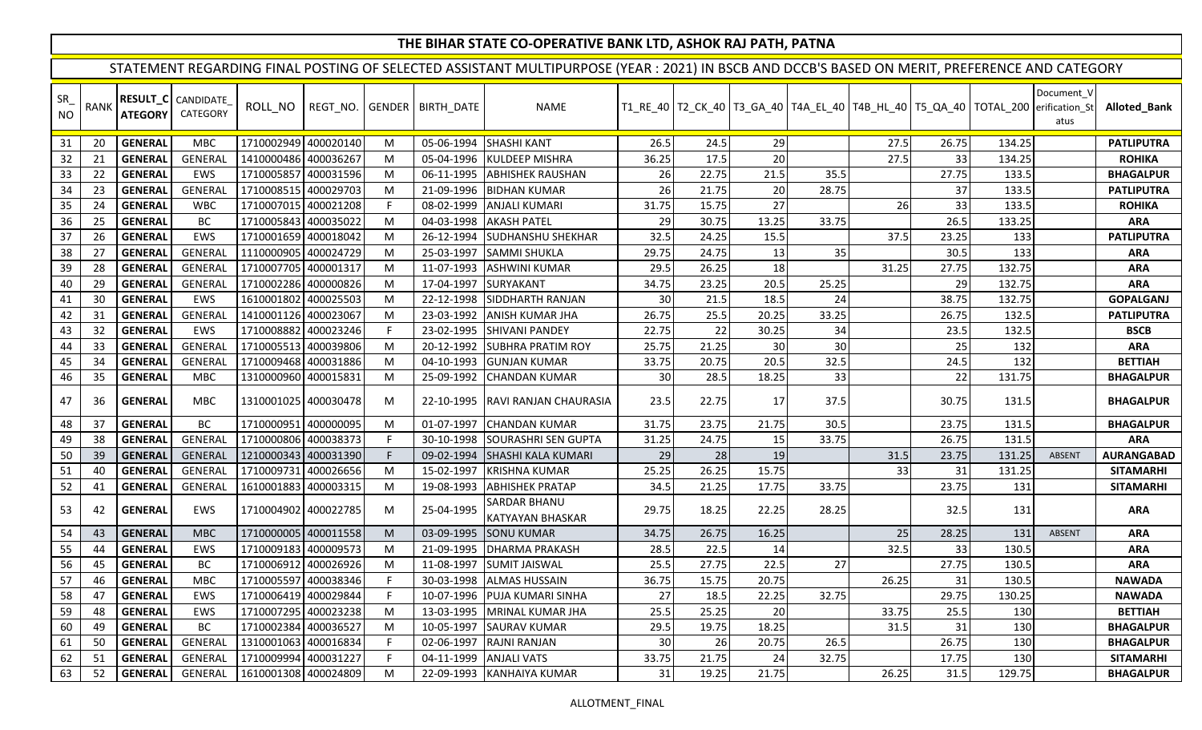| SR<br><b>NO</b> | <b>RANK</b> | RESULT_C<br><b>ATEGORY</b> | CANDIDATE<br>CATEGORY | ROLL_NO              | REGT_NO.  |              | GENDER BIRTH DATE | NAME                             |       |       |       |       |       |                 | T1_RE_40   T2_CK_40   T3_GA_40   T4A_EL_40   T4B_HL_40   T5_QA_40   TOTAL_200   erification_St | Document_V<br>atus | Alloted_Bank      |
|-----------------|-------------|----------------------------|-----------------------|----------------------|-----------|--------------|-------------------|----------------------------------|-------|-------|-------|-------|-------|-----------------|------------------------------------------------------------------------------------------------|--------------------|-------------------|
| 31              | 20          | <b>GENERAL</b>             | <b>MBC</b>            | 1710002949 400020140 |           | M            | 05-06-1994        | <b>SHASHI KANT</b>               | 26.5  | 24.5  | 29    |       | 27.5  | 26.75           | 134.25                                                                                         |                    | <b>PATLIPUTRA</b> |
| 32              | 21          | <b>GENERAL</b>             | <b>GENERAI</b>        | 1410000486 400036267 |           | M            | 05-04-1996        | <b>KULDEEP MISHRA</b>            | 36.25 | 17.5  | 20    |       | 27.5  | 33              | 134.25                                                                                         |                    | <b>ROHIKA</b>     |
| 33              | 22          | <b>GENERAL</b>             | <b>EWS</b>            | 1710005857 400031596 |           | M            | 06-11-1995        | <b>ABHISHEK RAUSHAN</b>          | 26    | 22.75 | 21.5  | 35.5  |       | 27.75           | 133.5                                                                                          |                    | <b>BHAGALPUR</b>  |
| 34              | 23          | <b>GENERAL</b>             | GENERAL               | 1710008515 400029703 |           | M            | 21-09-1996        | <b>BIDHAN KUMAR</b>              | 26    | 21.75 | 20    | 28.75 |       | 37 <sup>1</sup> | 133.5                                                                                          |                    | <b>PATLIPUTRA</b> |
| 35              | 24          | <b>GENERAL</b>             | <b>WBC</b>            | 1710007015           | 400021208 | F.           | 08-02-1999        | <b>ANJALI KUMARI</b>             | 31.75 | 15.75 | 27    |       | 26    | 33              | 133.5                                                                                          |                    | <b>ROHIKA</b>     |
| 36              | 25          | <b>GENERAL</b>             | <b>BC</b>             | 1710005843           | 400035022 | M            | 04-03-1998        | <b>AKASH PATEL</b>               | 29    | 30.75 | 13.25 | 33.75 |       | 26.5            | 133.25                                                                                         |                    | <b>ARA</b>        |
| 37              | 26          | <b>GENERAL</b>             | <b>EWS</b>            | 1710001659 400018042 |           | M            | 26-12-1994        | SUDHANSHU SHEKHAR                | 32.5  | 24.25 | 15.5  |       | 37.5  | 23.25           | 133                                                                                            |                    | <b>PATLIPUTRA</b> |
| 38              | 27          | <b>GENERAL</b>             | GENERAL               | 1110000905 400024729 |           | M            | 25-03-1997        | <b>SAMMI SHUKLA</b>              | 29.75 | 24.75 | 13    | 35    |       | 30.5            | 133                                                                                            |                    | <b>ARA</b>        |
| 39              | 28          | <b>GENERAL</b>             | <b>GENERAL</b>        | 1710007705           | 400001317 | M            | 11-07-1993        | ASHWINI KUMAR                    | 29.5  | 26.25 | 18    |       | 31.25 | 27.75           | 132.75                                                                                         |                    | <b>ARA</b>        |
| 40              | 29          | <b>GENERAL</b>             | GENERAL               | 1710002286 400000826 |           | M            | 17-04-1997        | <b>SURYAKANT</b>                 | 34.75 | 23.25 | 20.5  | 25.25 |       | 29              | 132.75                                                                                         |                    | <b>ARA</b>        |
| 41              | 30          | <b>GENERAL</b>             | <b>EWS</b>            | 1610001802           | 400025503 | M            | 22-12-1998        | SIDDHARTH RANJAN                 | 30    | 21.5  | 18.5  | 24    |       | 38.75           | 132.75                                                                                         |                    | <b>GOPALGANJ</b>  |
| 42              | 31          | <b>GENERAL</b>             | GENERAI               | 1410001126           | 400023067 | M            | 23-03-1992        | ANISH KUMAR JHA                  | 26.75 | 25.5  | 20.25 | 33.25 |       | 26.75           | 132.5                                                                                          |                    | <b>PATLIPUTRA</b> |
| 43              | 32          | <b>GENERAL</b>             | EWS                   | 1710008882           | 400023246 | $\mathsf{F}$ | 23-02-1995        | ISHIVANI PANDEY                  | 22.75 | 22    | 30.25 | 34    |       | 23.5            | 132.5                                                                                          |                    | <b>BSCB</b>       |
| 44              | 33          | <b>GENERAL</b>             | GENERAL               | 1710005513 400039806 |           | M            | 20-12-1992        | <b>SUBHRA PRATIM ROY</b>         | 25.75 | 21.25 | 30    | 30    |       | 25              | 132                                                                                            |                    | <b>ARA</b>        |
| 45              | 34          | <b>GENERAL</b>             | <b>GENERAL</b>        | 1710009468 400031886 |           | M            | 04-10-1993        | <b>GUNJAN KUMAR</b>              | 33.75 | 20.75 | 20.5  | 32.5  |       | 24.5            | 132                                                                                            |                    | <b>BETTIAH</b>    |
| 46              | 35          | <b>GENERAL</b>             | <b>MBC</b>            | 1310000960 400015831 |           | M            | 25-09-1992        | <b>CHANDAN KUMAR</b>             | 30    | 28.5  | 18.25 | 33    |       | 22              | 131.75                                                                                         |                    | <b>BHAGALPUR</b>  |
| 47              | 36          | <b>GENERAL</b>             | <b>MBC</b>            | 1310001025 400030478 |           | M            | 22-10-1995        | RAVI RANJAN CHAURASIA            | 23.5  | 22.75 | 17    | 37.5  |       | 30.75           | 131.5                                                                                          |                    | <b>BHAGALPUR</b>  |
| 48              | 37          | <b>GENERAL</b>             | BC                    | 1710000951 400000095 |           | M            | 01-07-1997        | <b>CHANDAN KUMAR</b>             | 31.75 | 23.75 | 21.75 | 30.5  |       | 23.75           | 131.5                                                                                          |                    | <b>BHAGALPUR</b>  |
| 49              | 38          | <b>GENERAL</b>             | <b>GENERAL</b>        | 1710000806 400038373 |           | F.           | 30-10-1998        | SOURASHRI SEN GUPTA              | 31.25 | 24.75 | 15    | 33.75 |       | 26.75           | 131.5                                                                                          |                    | <b>ARA</b>        |
| 50              | 39          | <b>GENERAL</b>             | GENERAL               | 1210000343 400031390 |           | F            | 09-02-1994        | <b>SHASHI KALA KUMARI</b>        | 29    | 28    | 19    |       | 31.5  | 23.75           | 131.25                                                                                         | <b>ABSEN1</b>      | <b>AURANGABAD</b> |
| 51              | 40          | <b>GENERAL</b>             | GENERAL               | 1710009731           | 400026656 | M            | 15-02-1997        | <b>KRISHNA KUMAR</b>             | 25.25 | 26.25 | 15.75 |       | 33    | 31              | 131.25                                                                                         |                    | <b>SITAMARHI</b>  |
| 52              | 41          | <b>GENERAL</b>             | GENERAL               | 1610001883 400003315 |           | M            | 19-08-1993        | <b>ABHISHEK PRATAP</b>           | 34.5  | 21.25 | 17.75 | 33.75 |       | 23.75           | 131                                                                                            |                    | <b>SITAMARHI</b>  |
| 53              | 42          | <b>GENERAL</b>             | <b>EWS</b>            | 1710004902 400022785 |           | M            | 25-04-1995        | SARDAR BHANU<br>KATYAYAN BHASKAR | 29.75 | 18.25 | 22.25 | 28.25 |       | 32.5            | 131                                                                                            |                    | <b>ARA</b>        |
| 54              | 43          | <b>GENERAL</b>             | <b>MBC</b>            | 1710000005 400011558 |           | M            | 03-09-1995        | <b>SONU KUMAR</b>                | 34.75 | 26.75 | 16.25 |       | 25    | 28.25           | 131                                                                                            | <b>ABSENT</b>      | <b>ARA</b>        |
| 55              | 44          | <b>GENERAL</b>             | <b>EWS</b>            | 1710009183           | 400009573 | M            | 21-09-1995        | <b>DHARMA PRAKASH</b>            | 28.5  | 22.5  | 14    |       | 32.5  | 33              | 130.5                                                                                          |                    | <b>ARA</b>        |
| 56              | 45          | <b>GENERAL</b>             | BC                    | 1710006912           | 400026926 | M            | 11-08-1997        | <b>SUMIT JAISWAL</b>             | 25.5  | 27.75 | 22.5  | 27    |       | 27.75           | 130.5                                                                                          |                    | <b>ARA</b>        |
| 57              | 46          | <b>GENERAL</b>             | <b>MBC</b>            | 1710005597           | 400038346 | $\mathsf{F}$ | 30-03-1998        | <b>ALMAS HUSSAIN</b>             | 36.75 | 15.75 | 20.75 |       | 26.25 | 31              | 130.5                                                                                          |                    | <b>NAWADA</b>     |
| 58              | 47          | <b>GENERAL</b>             | EWS                   | 1710006419 400029844 |           | $\mathsf{F}$ | 10-07-1996        | PUJA KUMARI SINHA                | 27    | 18.5  | 22.25 | 32.75 |       | 29.75           | 130.25                                                                                         |                    | <b>NAWADA</b>     |
| 59              | 48          | <b>GENERAL</b>             | EWS                   | 1710007295 400023238 |           | M            | 13-03-1995        | MRINAL KUMAR JHA                 | 25.5  | 25.25 | 20    |       | 33.75 | 25.5            | 130                                                                                            |                    | <b>BETTIAH</b>    |
| 60              | 49          | <b>GENERAL</b>             | BC                    | 1710002384           | 400036527 | M            | 10-05-1997        | <b>SAURAV KUMAR</b>              | 29.5  | 19.75 | 18.25 |       | 31.5  | 31              | 130                                                                                            |                    | <b>BHAGALPUR</b>  |
| 61              | 50          | <b>GENERAL</b>             | <b>GENERAI</b>        | 1310001063           | 400016834 | F.           | 02-06-1997        | <b>RAJNI RANJAN</b>              | 30    | 26    | 20.75 | 26.5  |       | 26.75           | 130                                                                                            |                    | <b>BHAGALPUR</b>  |
| 62              | 51          | <b>GENERAI</b>             | <b>GENERAL</b>        | 1710009994           | 400031227 | F            | 04-11-1999        | <b>ANJALI VATS</b>               | 33.75 | 21.75 | 24    | 32.75 |       | 17.75           | 130                                                                                            |                    | <b>SITAMARHI</b>  |
| 63              | 52          | <b>GENERAL</b>             | <b>GENERAL</b>        | 1610001308 400024809 |           | M            | 22-09-1993        | KANHAIYA KUMAR                   | 31    | 19.25 | 21.75 |       | 26.25 | 31.5            | 129.75                                                                                         |                    | <b>BHAGALPUR</b>  |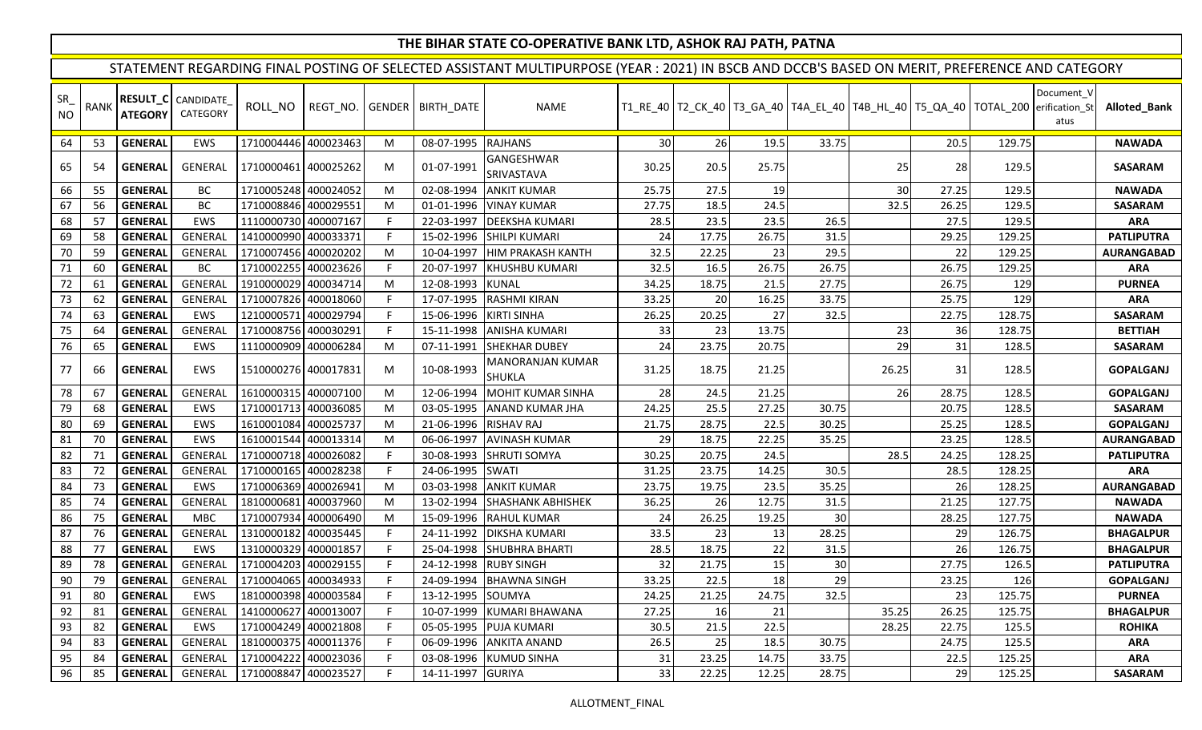| SR<br><b>NO</b> | <b>RANK</b> | <b>ATEGORY</b> | <b>RESULT_C</b> CANDIDATE<br>CATEGORY | ROLL_NO              | REGT_NO.  |              | GENDER BIRTH DATE | <b>NAME</b>                              |       |       |       |       |       |           | T1_RE_40   T2_CK_40   T3_GA_40   T4A_EL_40   T4B_HL_40   T5_QA_40   TOTAL_200  erification_St | Document V<br>atus | <b>Alloted Bank</b> |
|-----------------|-------------|----------------|---------------------------------------|----------------------|-----------|--------------|-------------------|------------------------------------------|-------|-------|-------|-------|-------|-----------|-----------------------------------------------------------------------------------------------|--------------------|---------------------|
| 64              | 53          | <b>GENERAL</b> | EWS                                   | 1710004446 400023463 |           | M            | 08-07-1995        | <b>RAJHANS</b>                           | 30    | 26    | 19.5  | 33.75 |       | 20.5      | 129.75                                                                                        |                    | <b>NAWADA</b>       |
| 65              | 54          | <b>GENERAL</b> | <b>GENERAL</b>                        | 1710000461 400025262 |           | M            | 01-07-1991        | GANGESHWAR<br>SRIVASTAVA                 | 30.25 | 20.5  | 25.75 |       | 25    | <b>28</b> | 129.5                                                                                         |                    | <b>SASARAM</b>      |
| 66              | 55          | <b>GENERAL</b> | BC                                    | 1710005248 400024052 |           | ${\sf M}$    | 02-08-1994        | <b>ANKIT KUMAR</b>                       | 25.75 | 27.5  | 19    |       | 30    | 27.25     | 129.5                                                                                         |                    | <b>NAWADA</b>       |
| 67              | 56          | <b>GENERAL</b> | BC                                    | 1710008846 400029551 |           | M            | 01-01-1996        | <b>VINAY KUMAR</b>                       | 27.75 | 18.5  | 24.5  |       | 32.5  | 26.25     | 129.5                                                                                         |                    | <b>SASARAM</b>      |
| 68              | 57          | <b>GENERAL</b> | <b>EWS</b>                            | 1110000730 400007167 |           | F.           | 22-03-1997        | <b>DEEKSHA KUMARI</b>                    | 28.5  | 23.5  | 23.5  | 26.5  |       | 27.5      | 129.5                                                                                         |                    | <b>ARA</b>          |
| 69              | 58          | <b>GENERAL</b> | <b>GENERAL</b>                        | 1410000990 400033371 |           | E            | 15-02-1996        | <b>SHILPI KUMARI</b>                     | 24    | 17.75 | 26.75 | 31.5  |       | 29.25     | 129.25                                                                                        |                    | <b>PATLIPUTRA</b>   |
| 70              | 59          | <b>GENERAL</b> | <b>GENERAL</b>                        | 1710007456 400020202 |           | M            | 10-04-1997        | <b>HIM PRAKASH KANTH</b>                 | 32.5  | 22.25 | 23    | 29.5  |       | 22        | 129.25                                                                                        |                    | <b>AURANGABAD</b>   |
| 71              | 60          | <b>GENERAL</b> | <b>BC</b>                             | 1710002255           | 400023626 | F            | 20-07-1997        | <b>KHUSHBU KUMARI</b>                    | 32.5  | 16.5  | 26.75 | 26.75 |       | 26.75     | 129.25                                                                                        |                    | <b>ARA</b>          |
| 72              | 61          | <b>GENERAL</b> | <b>GENERA</b>                         | 1910000029           | 400034714 | M            | 12-08-1993        | <b>KUNAL</b>                             | 34.25 | 18.75 | 21.5  | 27.75 |       | 26.75     | 129                                                                                           |                    | <b>PURNEA</b>       |
| 73              | 62          | <b>GENERAL</b> | <b>GENERAL</b>                        | 1710007826 400018060 |           | F            | 17-07-1995        | <b>RASHMI KIRAN</b>                      | 33.25 | 20    | 16.25 | 33.75 |       | 25.75     | 129                                                                                           |                    | <b>ARA</b>          |
| 74              | 63          | <b>GENERAL</b> | EWS                                   | 1210000571 400029794 |           | F            | 15-06-1996        | <b>KIRTI SINHA</b>                       | 26.25 | 20.25 | 27    | 32.5  |       | 22.75     | 128.75                                                                                        |                    | <b>SASARAM</b>      |
| 75              | 64          | <b>GENERAL</b> | <b>GENERAI</b>                        | 1710008756 400030291 |           | $\mathsf{F}$ | 15-11-1998        | <b>ANISHA KUMARI</b>                     | 33    | 23    | 13.75 |       | 23    | 36        | 128.75                                                                                        |                    | <b>BETTIAH</b>      |
| 76              | 65          | <b>GENERAL</b> | <b>EWS</b>                            | 1110000909 400006284 |           | M            | 07-11-1991        | <b>SHEKHAR DUBEY</b>                     | 24    | 23.75 | 20.75 |       | 29    | 31        | 128.5                                                                                         |                    | <b>SASARAM</b>      |
| 77              | 66          | <b>GENERAL</b> | <b>EWS</b>                            | 1510000276 400017831 |           | M            | 10-08-1993        | <b>MANORANJAN KUMAR</b><br><b>SHUKLA</b> | 31.25 | 18.75 | 21.25 |       | 26.25 | 31        | 128.5                                                                                         |                    | <b>GOPALGANJ</b>    |
| 78              | 67          | <b>GENERAL</b> | <b>GENERA</b>                         | 1610000315 400007100 |           | M            | 12-06-1994        | <b>MOHIT KUMAR SINHA</b>                 | 28    | 24.5  | 21.25 |       | 26    | 28.75     | 128.5                                                                                         |                    | <b>GOPALGANJ</b>    |
| 79              | 68          | <b>GENERAL</b> | <b>EWS</b>                            | 1710001713 400036085 |           | M            | 03-05-1995        | <b>ANAND KUMAR JHA</b>                   | 24.25 | 25.5  | 27.25 | 30.75 |       | 20.75     | 128.5                                                                                         |                    | <b>SASARAM</b>      |
| 80              | 69          | <b>GENERAL</b> | EWS                                   | 1610001084 400025737 |           | M            | 21-06-1996        | <b>RISHAV RAJ</b>                        | 21.75 | 28.75 | 22.5  | 30.25 |       | 25.25     | 128.5                                                                                         |                    | <b>GOPALGANJ</b>    |
| 81              | 70          | <b>GENERAL</b> | <b>EWS</b>                            | 1610001544 400013314 |           | M            | 06-06-1997        | <b>AVINASH KUMAR</b>                     | 29    | 18.75 | 22.25 | 35.25 |       | 23.25     | 128.5                                                                                         |                    | <b>AURANGABAD</b>   |
| 82              | 71          | <b>GENERAL</b> | <b>GENERAI</b>                        | 1710000718 400026082 |           | F.           | 30-08-1993        | <b>SHRUTI SOMYA</b>                      | 30.25 | 20.75 | 24.5  |       | 28.5  | 24.25     | 128.25                                                                                        |                    | <b>PATLIPUTRA</b>   |
| 83              | 72          | <b>GENERAL</b> | <b>GENERAL</b>                        | 1710000165 400028238 |           | $\mathsf{F}$ | 24-06-1995        | <b>SWATI</b>                             | 31.25 | 23.75 | 14.25 | 30.5  |       | 28.5      | 128.25                                                                                        |                    | <b>ARA</b>          |
| 84              | 73          | <b>GENERAL</b> | EWS                                   | 1710006369 400026941 |           | M            | 03-03-1998        | <b>ANKIT KUMAR</b>                       | 23.75 | 19.75 | 23.5  | 35.25 |       | 26        | 128.25                                                                                        |                    | <b>AURANGABAD</b>   |
| 85              | 74          | <b>GENERAL</b> | <b>GENERAL</b>                        | 1810000681           | 400037960 | M            | 13-02-1994        | <b>SHASHANK ABHISHEK</b>                 | 36.25 | 26    | 12.75 | 31.5  |       | 21.25     | 127.75                                                                                        |                    | <b>NAWADA</b>       |
| 86              | 75          | <b>GENERAL</b> | <b>MBC</b>                            | 1710007934           | 400006490 | M            | 15-09-1996        | <b>RAHUL KUMAR</b>                       | 24    | 26.25 | 19.25 | 30    |       | 28.25     | 127.75                                                                                        |                    | <b>NAWADA</b>       |
| 87              | 76          | <b>GENERAL</b> | <b>GENERAL</b>                        | 1310000182 400035445 |           | F            | 24-11-1992        | <b>DIKSHA KUMARI</b>                     | 33.5  | 23    | 13    | 28.25 |       | 29        | 126.75                                                                                        |                    | <b>BHAGALPUR</b>    |
| 88              | 77          | <b>GENERAL</b> | EWS                                   | 1310000329 400001857 |           | F            | 25-04-1998        | <b>SHUBHRA BHARTI</b>                    | 28.5  | 18.75 | 22    | 31.5  |       | 26        | 126.75                                                                                        |                    | <b>BHAGALPUR</b>    |
| 89              | 78          | <b>GENERAL</b> | <b>GENERAI</b>                        | 1710004203 400029155 |           | $\mathsf{F}$ | 24-12-1998        | <b>RUBY SINGH</b>                        | 32    | 21.75 | 15    | 30    |       | 27.75     | 126.5                                                                                         |                    | <b>PATLIPUTRA</b>   |
| 90              | 79          | <b>GENERAL</b> | GENERAL                               | 1710004065 400034933 |           | F.           | 24-09-1994        | <b>BHAWNA SINGH</b>                      | 33.25 | 22.5  | 18    | 29    |       | 23.25     | 126                                                                                           |                    | <b>GOPALGANJ</b>    |
| 91              | 80          | <b>GENERAL</b> | EWS                                   | 1810000398 400003584 |           | E            | 13-12-1995        | SOUMYA                                   | 24.25 | 21.25 | 24.75 | 32.5  |       | 23        | $\overline{125.75}$                                                                           |                    | <b>PURNEA</b>       |
| 92              | 81          | <b>GENERAL</b> | <b>GENERAL</b>                        | 1410000627 400013007 |           | E            | 10-07-1999        | <b>KUMARI BHAWANA</b>                    | 27.25 | 16    | 21    |       | 35.25 | 26.25     | 125.75                                                                                        |                    | <b>BHAGALPUR</b>    |
| 93              | 82          | <b>GENERAL</b> | EWS                                   | 1710004249 400021808 |           | F            | 05-05-1995        | <b>PUJA KUMARI</b>                       | 30.5  | 21.5  | 22.5  |       | 28.25 | 22.75     | 125.5                                                                                         |                    | <b>ROHIKA</b>       |
| 94              | 83          | <b>GENERAL</b> | <b>GENERAL</b>                        | 1810000375 400011376 |           | F            | 06-09-1996        | <b>ANKITA ANAND</b>                      | 26.5  | 25    | 18.5  | 30.75 |       | 24.75     | 125.5                                                                                         |                    | <b>ARA</b>          |
| 95              | 84          | <b>GENERAL</b> | <b>GENERAL</b>                        | 1710004222 400023036 |           | F.           | 03-08-1996        | <b>KUMUD SINHA</b>                       | 31    | 23.25 | 14.75 | 33.75 |       | 22.5      | 125.25                                                                                        |                    | <b>ARA</b>          |
| 96              | 85          | <b>GENERAL</b> | <b>GENERAL</b>                        | 1710008847 400023527 |           | F.           | 14-11-1997        | <b>GURIYA</b>                            | 33    | 22.25 | 12.25 | 28.75 |       | 29        | 125.25                                                                                        |                    | <b>SASARAM</b>      |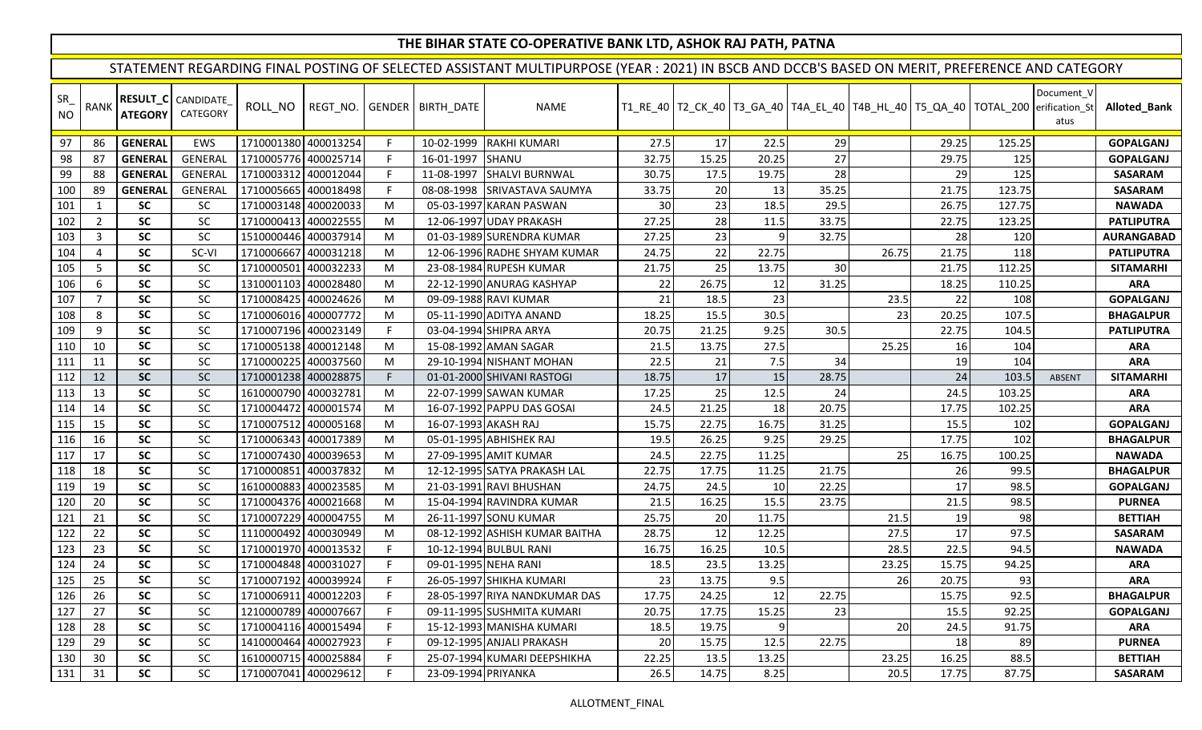| SR<br><b>NO</b> | <b>RANK</b>    | <b>RESULT_C</b><br><b>ATEGORY</b> | CANDIDATE<br>CATEGORY | ROLL_NO              |           |    | REGT_NO. GENDER   BIRTH_DATE | NAME                           |       |       |       |       |       |       | T1_RE_40   T2_CK_40   T3_GA_40   T4A_EL_40   T4B_HL_40   T5_QA_40   TOTAL_200   erification_St | Document_V<br>atus | <b>Alloted Bank</b> |
|-----------------|----------------|-----------------------------------|-----------------------|----------------------|-----------|----|------------------------------|--------------------------------|-------|-------|-------|-------|-------|-------|------------------------------------------------------------------------------------------------|--------------------|---------------------|
| 97              | 86             | <b>GENERAL</b>                    | EWS                   | 1710001380 400013254 |           | F. | 10-02-1999                   | RAKHI KUMARI                   | 27.5  | 17    | 22.5  | 29    |       | 29.25 | 125.25                                                                                         |                    | <b>GOPALGANJ</b>    |
| 98              | 87             | <b>GENERAL</b>                    | <b>GENERAI</b>        | 1710005776 400025714 |           | F. | 16-01-1997                   | SHANU                          | 32.75 | 15.25 | 20.25 | 27    |       | 29.75 | 125                                                                                            |                    | <b>GOPALGANJ</b>    |
| 99              | 88             | <b>GENERAL</b>                    | <b>GENERAL</b>        | 1710003312 400012044 |           | F. | 11-08-1997                   | <b>SHALVI BURNWAL</b>          | 30.75 | 17.5  | 19.75 | 28    |       | 29    | 125                                                                                            |                    | <b>SASARAM</b>      |
| 100             | 89             | <b>GENERAL</b>                    | <b>GENERAL</b>        | 1710005665 400018498 |           | F. | 08-08-1998                   | SRIVASTAVA SAUMYA              | 33.75 | 20    | 13    | 35.25 |       | 21.75 | 123.75                                                                                         |                    | <b>SASARAM</b>      |
| 101             | 1              | <b>SC</b>                         | SC                    | 1710003148 400020033 |           | M  | 05-03-1997                   | <b>IKARAN PASWAN</b>           | 30    | 23    | 18.5  | 29.5  |       | 26.75 | 127.75                                                                                         |                    | <b>NAWADA</b>       |
| 102             | $\overline{2}$ | <b>SC</b>                         | <b>SC</b>             | 1710000413 400022555 |           | M  | 12-06-1997                   | <b>UDAY PRAKASH</b>            | 27.25 | 28    | 11.5  | 33.75 |       | 22.75 | 123.25                                                                                         |                    | <b>PATLIPUTRA</b>   |
| 103             | $\mathbf{3}$   | <b>SC</b>                         | <b>SC</b>             | 1510000446 400037914 |           | M  |                              | 01-03-1989 SURENDRA KUMAR      | 27.25 | 23    | q     | 32.75 |       | 28    | 120                                                                                            |                    | <b>AURANGABAD</b>   |
| 104             | 4              | <b>SC</b>                         | SC-VI                 | 1710006667           | 400031218 | M  | 12-06-1996                   | <b>RADHE SHYAM KUMAR</b>       | 24.75 | 22    | 22.75 |       | 26.75 | 21.75 | 118                                                                                            |                    | <b>PATLIPUTRA</b>   |
| 105             | 5              | <b>SC</b>                         | <b>SC</b>             | 1710000501           | 400032233 | M  |                              | 23-08-1984 RUPESH KUMAR        | 21.75 | 25    | 13.75 | 30    |       | 21.75 | 112.25                                                                                         |                    | <b>SITAMARHI</b>    |
| 106             | 6              | <b>SC</b>                         | <b>SC</b>             | 1310001103 400028480 |           | M  | 22-12-1990                   | <b>ANURAG KASHYAP</b>          | 22    | 26.75 | 12    | 31.25 |       | 18.25 | 110.25                                                                                         |                    | <b>ARA</b>          |
| 107             | $\overline{7}$ | <b>SC</b>                         | SC                    | 1710008425 400024626 |           | M  |                              | 09-09-1988 RAVI KUMAR          | 21    | 18.5  | 23    |       | 23.5  | 22    | 108                                                                                            |                    | <b>GOPALGANJ</b>    |
| 108             | 8              | <b>SC</b>                         | <b>SC</b>             | 1710006016 400007772 |           | M  |                              | 05-11-1990 ADITYA ANAND        | 18.25 | 15.5  | 30.5  |       | 23    | 20.25 | 107.5                                                                                          |                    | <b>BHAGALPUR</b>    |
| 109             | 9              | <b>SC</b>                         | SC                    | 1710007196 400023149 |           | F. |                              | 03-04-1994 SHIPRA ARYA         | 20.75 | 21.25 | 9.25  | 30.5  |       | 22.75 | 104.5                                                                                          |                    | <b>PATLIPUTRA</b>   |
| 110             | 10             | <b>SC</b>                         | <b>SC</b>             | 1710005138 400012148 |           | M  |                              | 15-08-1992 AMAN SAGAR          | 21.5  | 13.75 | 27.5  |       | 25.25 | 16    | 104                                                                                            |                    | <b>ARA</b>          |
| 111             | 11             | <b>SC</b>                         | <b>SC</b>             | 1710000225 400037560 |           | M  |                              | 29-10-1994 NISHANT MOHAN       | 22.5  | 21    | 7.5   | 34    |       | 19    | 104                                                                                            |                    | <b>ARA</b>          |
| 112             | 12             | <b>SC</b>                         | <b>SC</b>             | 1710001238 400028875 |           | F. |                              | 01-01-2000 SHIVANI RASTOGI     | 18.75 | 17    | 15    | 28.75 |       | 24    | 103.5                                                                                          | <b>ABSENT</b>      | <b>SITAMARHI</b>    |
| 113             | 13             | <b>SC</b>                         | SC                    | 1610000790 400032781 |           | M  |                              | 22-07-1999 SAWAN KUMAR         | 17.25 | 25    | 12.5  | 24    |       | 24.5  | 103.25                                                                                         |                    | <b>ARA</b>          |
| 114             | 14             | <b>SC</b>                         | SC                    | 1710004472 400001574 |           | M  |                              | 16-07-1992 PAPPU DAS GOSAI     | 24.5  | 21.25 | 18    | 20.75 |       | 17.75 | 102.25                                                                                         |                    | <b>ARA</b>          |
| 115             | 15             | <b>SC</b>                         | SC                    | 1710007512 400005168 |           | M  | 16-07-1993 AKASH RAJ         |                                | 15.75 | 22.75 | 16.75 | 31.25 |       | 15.5  | 102                                                                                            |                    | <b>GOPALGANJ</b>    |
| 116             | 16             | <b>SC</b>                         | SC                    | 1710006343 400017389 |           | M  |                              | 05-01-1995 ABHISHEK RAJ        | 19.5  | 26.25 | 9.25  | 29.25 |       | 17.75 | 102                                                                                            |                    | <b>BHAGALPUR</b>    |
| 117             | 17             | <b>SC</b>                         | SC                    | 1710007430 400039653 |           | M  |                              | 27-09-1995 AMIT KUMAR          | 24.5  | 22.75 | 11.25 |       | 25    | 16.75 | 100.25                                                                                         |                    | <b>NAWADA</b>       |
| 118             | 18             | <b>SC</b>                         | <b>SC</b>             | 1710000851 400037832 |           | M  |                              | 12-12-1995 SATYA PRAKASH LAL   | 22.75 | 17.75 | 11.25 | 21.75 |       | 26    | 99.5                                                                                           |                    | <b>BHAGALPUR</b>    |
| 119             | 19             | <b>SC</b>                         | <b>SC</b>             | 1610000883 400023585 |           | M  | 21-03-1991                   | <b>RAVI BHUSHAN</b>            | 24.75 | 24.5  | 10    | 22.25 |       | 17    | 98.5                                                                                           |                    | <b>GOPALGANJ</b>    |
| 120             | 20             | <b>SC</b>                         | <b>SC</b>             | 1710004376 400021668 |           | M  |                              | 15-04-1994 RAVINDRA KUMAR      | 21.5  | 16.25 | 15.5  | 23.75 |       | 21.5  | 98.5                                                                                           |                    | <b>PURNEA</b>       |
| 121             | 21             | <b>SC</b>                         | <b>SC</b>             | 1710007229 400004755 |           | M  |                              | 26-11-1997 SONU KUMAR          | 25.75 | 20    | 11.75 |       | 21.5  | 19    | 98                                                                                             |                    | <b>BETTIAH</b>      |
| 122             | 22             | <b>SC</b>                         | SC                    | 1110000492 400030949 |           | M  |                              | 08-12-1992 ASHISH KUMAR BAITHA | 28.75 | 12    | 12.25 |       | 27.5  | 17    | 97.5                                                                                           |                    | <b>SASARAM</b>      |
| 123             | 23             | <b>SC</b>                         | <b>SC</b>             | 1710001970 400013532 |           | F. |                              | 10-12-1994 BULBUL RANI         | 16.75 | 16.25 | 10.5  |       | 28.5  | 22.5  | 94.5                                                                                           |                    | <b>NAWADA</b>       |
| 124             | 24             | <b>SC</b>                         | SC                    | 1710004848 400031027 |           | F. | 09-01-1995 NEHA RANI         |                                | 18.5  | 23.5  | 13.25 |       | 23.25 | 15.75 | 94.25                                                                                          |                    | <b>ARA</b>          |
| 125             | 25             | <b>SC</b>                         | <b>SC</b>             | 1710007192 400039924 |           | F. |                              | 26-05-1997 SHIKHA KUMARI       | 23    | 13.75 | 9.5   |       | 26    | 20.75 | 93                                                                                             |                    | <b>ARA</b>          |
| 126             | 26             | <b>SC</b>                         | <b>SC</b>             | 1710006911 400012203 |           | F. |                              | 28-05-1997 RIYA NANDKUMAR DAS  | 17.75 | 24.25 | 12    | 22.75 |       | 15.75 | 92.5                                                                                           |                    | <b>BHAGALPUR</b>    |
| 127             | 27             | <b>SC</b>                         | <b>SC</b>             | 1210000789 400007667 |           | F. |                              | 09-11-1995 SUSHMITA KUMARI     | 20.75 | 17.75 | 15.25 | 23    |       | 15.5  | 92.25                                                                                          |                    | <b>GOPALGANJ</b>    |
| 128             | 28             | <b>SC</b>                         | <b>SC</b>             | 1710004116 400015494 |           | F. |                              | 15-12-1993 MANISHA KUMARI      | 18.5  | 19.75 | 9     |       | 20    | 24.5  | 91.75                                                                                          |                    | <b>ARA</b>          |
| 129             | 29             | <b>SC</b>                         | <b>SC</b>             | 1410000464 400027923 |           | F. |                              | 09-12-1995 ANJALI PRAKASH      | 20    | 15.75 | 12.5  | 22.75 |       | 18    | 89                                                                                             |                    | <b>PURNEA</b>       |
| 130             | 30             | <b>SC</b>                         | <b>SC</b>             | 1610000715 400025884 |           | F. | 25-07-1994                   | KUMARI DEEPSHIKHA              | 22.25 | 13.5  | 13.25 |       | 23.25 | 16.25 | 88.5                                                                                           |                    | <b>BETTIAH</b>      |
| 131             | 31             | <b>SC</b>                         | <b>SC</b>             | 1710007041 400029612 |           | F. | 23-09-1994 PRIYANKA          |                                | 26.5  | 14.75 | 8.25  |       | 20.5  | 17.75 | 87.75                                                                                          |                    | <b>SASARAM</b>      |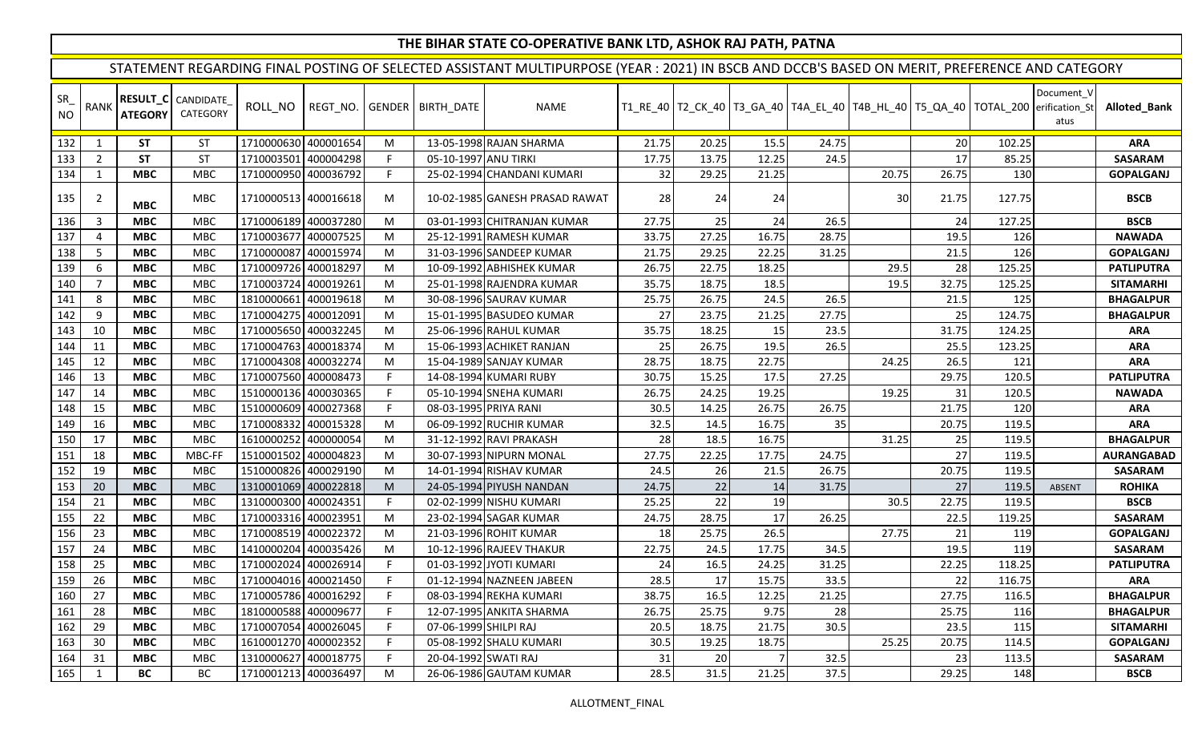| SR<br><b>NO</b> | <b>RANK</b>    | <b>RESULT_C</b><br><b>ATEGORY</b> | CANDIDATE<br>CATEGORY | ROLL_NO              | REGT_NO.  |    | GENDER   BIRTH DATE   | <b>NAME</b>                    |       |       |       |       |                 |       | T1_RE_40   T2_CK_40   T3_GA_40   T4A_EL_40   T4B_HL_40   T5_QA_40   TOTAL_200   erification_St | Document V<br>atus | Alloted_Bank      |
|-----------------|----------------|-----------------------------------|-----------------------|----------------------|-----------|----|-----------------------|--------------------------------|-------|-------|-------|-------|-----------------|-------|------------------------------------------------------------------------------------------------|--------------------|-------------------|
| 132             | -1             | <b>ST</b>                         | <b>ST</b>             | 1710000630 400001654 |           | M  |                       | 13-05-1998 RAJAN SHARMA        | 21.75 | 20.25 | 15.5  | 24.75 |                 | 20    | 102.25                                                                                         |                    | <b>ARA</b>        |
| 133             | $\overline{2}$ | <b>ST</b>                         | <b>ST</b>             | 1710003501           | 400004298 | E  | 05-10-1997 ANU TIRKI  |                                | 17.75 | 13.75 | 12.25 | 24.5  |                 | 17    | 85.25                                                                                          |                    | <b>SASARAM</b>    |
| 134             | $\mathbf{1}$   | <b>MBC</b>                        | <b>MBC</b>            | 1710000950           | 400036792 | F. |                       | 25-02-1994 CHANDANI KUMARI     | 32    | 29.25 | 21.25 |       | 20.75           | 26.75 | 130                                                                                            |                    | <b>GOPALGANJ</b>  |
| 135             | $\overline{2}$ | <b>MBC</b>                        | <b>MBC</b>            | 17100005131400016618 |           | M  |                       | 10-02-1985 GANESH PRASAD RAWAT | 28    | 24    | 24    |       | 30 <sup>1</sup> | 21.75 | 127.75                                                                                         |                    | <b>BSCB</b>       |
| 136             | 3              | <b>MBC</b>                        | <b>MBC</b>            | 1710006189           | 400037280 | M  |                       | 03-01-1993 CHITRANJAN KUMAR    | 27.75 | 25    | 24    | 26.5  |                 | 24    | 127.25                                                                                         |                    | <b>BSCB</b>       |
| 137             | 4              | <b>MBC</b>                        | <b>MBC</b>            | 1710003677           | 400007525 | M  |                       | 25-12-1991 RAMESH KUMAR        | 33.75 | 27.25 | 16.75 | 28.75 |                 | 19.5  | 126                                                                                            |                    | <b>NAWADA</b>     |
| 138             | 5              | <b>MBC</b>                        | <b>MBC</b>            | 1710000087           | 400015974 | M  |                       | 31-03-1996 SANDEEP KUMAR       | 21.75 | 29.25 | 22.25 | 31.25 |                 | 21.5  | 126                                                                                            |                    | <b>GOPALGANJ</b>  |
| 139             | 6              | <b>MBC</b>                        | <b>MBC</b>            | 1710009726           | 400018297 | M  |                       | 10-09-1992 ABHISHEK KUMAR      | 26.75 | 22.75 | 18.25 |       | 29.5            | 28    | 125.25                                                                                         |                    | <b>PATLIPUTRA</b> |
| 140             | $\overline{7}$ | <b>MBC</b>                        | <b>MBC</b>            | 1710003724           | 400019261 | M  |                       | 25-01-1998 RAJENDRA KUMAR      | 35.75 | 18.75 | 18.5  |       | 19.5            | 32.75 | 125.25                                                                                         |                    | <b>SITAMARHI</b>  |
| 141             | 8              | <b>MBC</b>                        | <b>MBC</b>            | 1810000661           | 400019618 | M  |                       | 30-08-1996 SAURAV KUMAR        | 25.75 | 26.75 | 24.5  | 26.5  |                 | 21.5  | 125                                                                                            |                    | <b>BHAGALPUR</b>  |
| 142             | 9              | <b>MBC</b>                        | <b>MBC</b>            | 1710004275           | 400012091 | M  |                       | 15-01-1995 BASUDEO KUMAR       | 27    | 23.75 | 21.25 | 27.75 |                 | 25    | 124.75                                                                                         |                    | <b>BHAGALPUR</b>  |
| 143             | 10             | <b>MBC</b>                        | <b>MBC</b>            | 1710005650           | 400032245 | M  |                       | 25-06-1996 RAHUL KUMAR         | 35.75 | 18.25 | 15    | 23.5  |                 | 31.75 | 124.25                                                                                         |                    | <b>ARA</b>        |
| 144             | 11             | <b>MBC</b>                        | <b>MBC</b>            | 1710004763           | 400018374 | M  |                       | 15-06-1993 ACHIKET RANJAN      | 25    | 26.75 | 19.5  | 26.5  |                 | 25.5  | 123.25                                                                                         |                    | <b>ARA</b>        |
| 145             | 12             | <b>MBC</b>                        | <b>MBC</b>            | 1710004308           | 400032274 | M  |                       | 15-04-1989 SANJAY KUMAR        | 28.75 | 18.75 | 22.75 |       | 24.25           | 26.5  | 121                                                                                            |                    | <b>ARA</b>        |
| 146             | 13             | <b>MBC</b>                        | <b>MBC</b>            | 1710007560           | 400008473 | F  |                       | 14-08-1994 KUMARI RUBY         | 30.75 | 15.25 | 17.5  | 27.25 |                 | 29.75 | 120.5                                                                                          |                    | <b>PATLIPUTRA</b> |
| 147             | 14             | <b>MBC</b>                        | <b>MBC</b>            | 1510000136           | 400030365 | F  |                       | 05-10-1994 SNEHA KUMARI        | 26.75 | 24.25 | 19.25 |       | 19.25           | 31    | 120.5                                                                                          |                    | <b>NAWADA</b>     |
| 148             | 15             | <b>MBC</b>                        | <b>MBC</b>            | 1510000609           | 400027368 | F. | 08-03-1995 PRIYA RANI |                                | 30.5  | 14.25 | 26.75 | 26.75 |                 | 21.75 | 120                                                                                            |                    | <b>ARA</b>        |
| 149             | 16             | <b>MBC</b>                        | <b>MBC</b>            | 1710008332           | 400015328 | M  |                       | 06-09-1992 RUCHIR KUMAR        | 32.5  | 14.5  | 16.75 | 35    |                 | 20.75 | 119.5                                                                                          |                    | <b>ARA</b>        |
| 150             | 17             | <b>MBC</b>                        | <b>MBC</b>            | 1610000252           | 400000054 | M  |                       | 31-12-1992 RAVI PRAKASH        | 28    | 18.5  | 16.75 |       | 31.25           | 25    | 119.5                                                                                          |                    | <b>BHAGALPUR</b>  |
| 151             | 18             | <b>MBC</b>                        | MBC-FF                | 1510001502           | 400004823 | M  |                       | 30-07-1993 NIPURN MONAL        | 27.75 | 22.25 | 17.75 | 24.75 |                 | 27    | 119.5                                                                                          |                    | <b>AURANGABAD</b> |
| 152             | 19             | <b>MBC</b>                        | <b>MBC</b>            | 1510000826           | 400029190 | M  |                       | 14-01-1994 RISHAV KUMAR        | 24.5  | 26    | 21.5  | 26.75 |                 | 20.75 | 119.5                                                                                          |                    | <b>SASARAM</b>    |
| 153             | 20             | <b>MBC</b>                        | <b>MBC</b>            | 1310001069           | 400022818 | M  |                       | 24-05-1994 PIYUSH NANDAN       | 24.75 | 22    | 14    | 31.75 |                 | 27    | 119.5                                                                                          | <b>ABSENT</b>      | <b>ROHIKA</b>     |
| 154             | 21             | <b>MBC</b>                        | <b>MBC</b>            | 1310000300           | 400024351 | F  |                       | 02-02-1999 NISHU KUMARI        | 25.25 | 22    | 19    |       | 30.5            | 22.75 | 119.5                                                                                          |                    | <b>BSCB</b>       |
| 155             | 22             | <b>MBC</b>                        | <b>MBC</b>            | 1710003316           | 400023951 | M  |                       | 23-02-1994 SAGAR KUMAR         | 24.75 | 28.75 | 17    | 26.25 |                 | 22.5  | 119.25                                                                                         |                    | <b>SASARAM</b>    |
| 156             | 23             | <b>MBC</b>                        | <b>MBC</b>            | 1710008519           | 400022372 | M  |                       | 21-03-1996 ROHIT KUMAR         | 18    | 25.75 | 26.5  |       | 27.75           | 21    | 119                                                                                            |                    | <b>GOPALGANJ</b>  |
| 157             | 24             | <b>MBC</b>                        | MBC                   | 1410000204           | 400035426 | M  |                       | 10-12-1996 RAJEEV THAKUR       | 22.75 | 24.5  | 17.75 | 34.5  |                 | 19.5  | 119                                                                                            |                    | <b>SASARAM</b>    |
| 158             | 25             | <b>MBC</b>                        | <b>MBC</b>            | 1710002024           | 400026914 | E  |                       | 01-03-1992 JYOTI KUMARI        | 24    | 16.5  | 24.25 | 31.25 |                 | 22.25 | 118.25                                                                                         |                    | <b>PATLIPUTRA</b> |
| 159             | 26             | <b>MBC</b>                        | <b>MBC</b>            | 1710004016           | 400021450 | F. |                       | 01-12-1994 NAZNEEN JABEEN      | 28.5  | 17    | 15.75 | 33.5  |                 | 22    | 116.75                                                                                         |                    | <b>ARA</b>        |
| 160             | 27             | <b>MBC</b>                        | <b>MBC</b>            | 1710005786           | 400016292 | F. |                       | 08-03-1994 REKHA KUMARI        | 38.75 | 16.5  | 12.25 | 21.25 |                 | 27.75 | 116.5                                                                                          |                    | <b>BHAGALPUR</b>  |
| 161             | 28             | <b>MBC</b>                        | <b>MBC</b>            | 1810000588           | 400009677 | F  |                       | 12-07-1995 ANKITA SHARMA       | 26.75 | 25.75 | 9.75  | 28    |                 | 25.75 | 116                                                                                            |                    | <b>BHAGALPUR</b>  |
| 162             | 29             | <b>MBC</b>                        | <b>MBC</b>            | 1710007054           | 400026045 | F  | 07-06-1999 SHILPI RAJ |                                | 20.5  | 18.75 | 21.75 | 30.5  |                 | 23.5  | 115                                                                                            |                    | <b>SITAMARHI</b>  |
| 163             | 30             | <b>MBC</b>                        | <b>MBC</b>            | 1610001270           | 400002352 | F  |                       | 05-08-1992 SHALU KUMARI        | 30.5  | 19.25 | 18.75 |       | 25.25           | 20.75 | 114.5                                                                                          |                    | <b>GOPALGANJ</b>  |
| 164             | 31             | <b>MBC</b>                        | <b>MBC</b>            | 1310000627           | 400018775 | F. | 20-04-1992 SWATI RAJ  |                                | 31    | 20    |       | 32.5  |                 | 23    | 113.5                                                                                          |                    | <b>SASARAM</b>    |
| 165             | $\mathbf{1}$   | BC                                | BC                    | 1710001213           | 400036497 | M  |                       | 26-06-1986 GAUTAM KUMAR        | 28.5  | 31.5  | 21.25 | 37.5  |                 | 29.25 | 148                                                                                            |                    | <b>BSCB</b>       |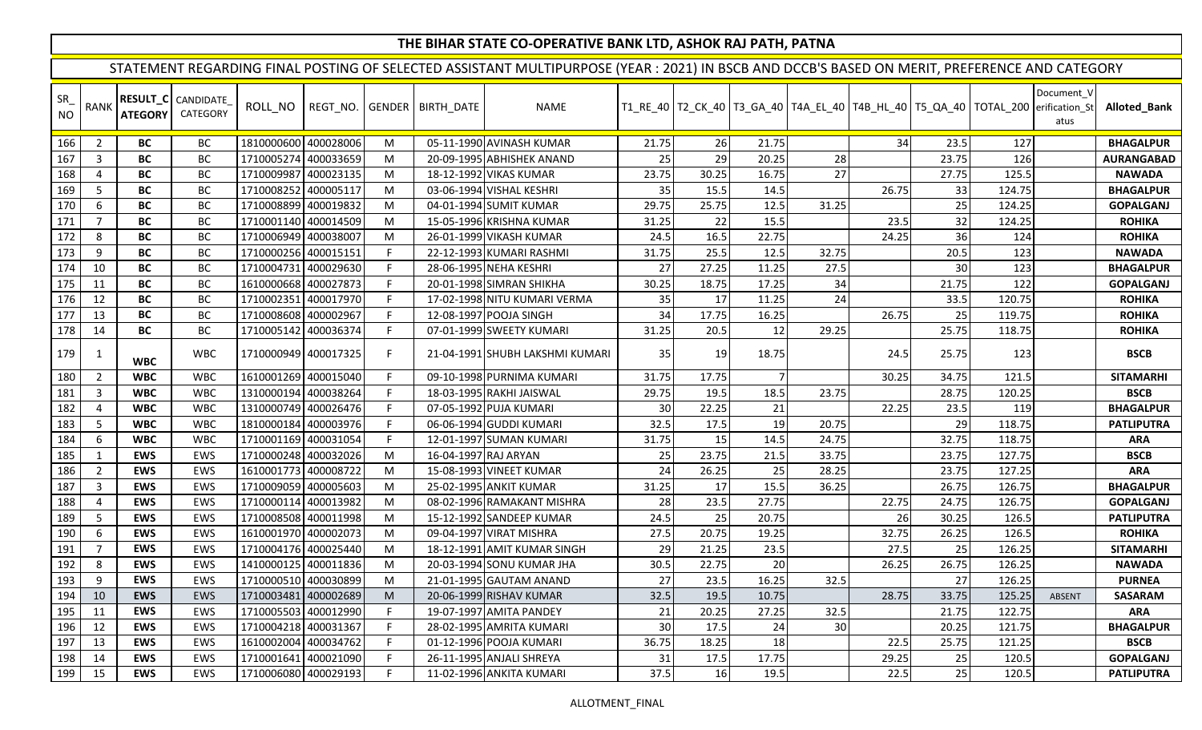| SR<br><b>NO</b> | RANK           | <b>RESULT_C</b><br><b>ATEGORY</b> | CANDIDATE<br><b>CATEGORY</b> | ROLL_NO              | REGT_NO.  |    | GENDER BIRTH DATE    | <b>NAME</b>                     |       |       |                |       |       |       | T1_RE_40   T2_CK_40   T3_GA_40   T4A_EL_40   T4B_HL_40   T5_QA_40   TOTAL_200   erification_St | Document_V<br>atus | <b>Alloted Bank</b> |
|-----------------|----------------|-----------------------------------|------------------------------|----------------------|-----------|----|----------------------|---------------------------------|-------|-------|----------------|-------|-------|-------|------------------------------------------------------------------------------------------------|--------------------|---------------------|
| 166             | $\overline{2}$ | <b>BC</b>                         | BC                           | 1810000600 400028006 |           | M  |                      | 05-11-1990 AVINASH KUMAR        | 21.75 | 26    | 21.75          |       | 34    | 23.5  | 127                                                                                            |                    | <b>BHAGALPUR</b>    |
| 167             | 3              | <b>BC</b>                         | BC                           | 1710005274           | 400033659 | M  |                      | 20-09-1995 ABHISHEK ANAND       | 25    | 29    | 20.25          | 28    |       | 23.75 | 126                                                                                            |                    | AURANGABAD          |
| 168             | $\overline{4}$ | <b>BC</b>                         | ВC                           | 1710009987           | 400023135 | M  |                      | 18-12-1992 VIKAS KUMAR          | 23.75 | 30.25 | 16.75          | 27    |       | 27.75 | 125.5                                                                                          |                    | <b>NAWADA</b>       |
| 169             | 5              | <b>BC</b>                         | ВC                           | 1710008252 400005117 |           | M  |                      | 03-06-1994 VISHAL KESHRI        | 35    | 15.5  | 14.5           |       | 26.75 | 33    | 124.75                                                                                         |                    | <b>BHAGALPUR</b>    |
| 170             | 6              | <b>BC</b>                         | ВC                           | 1710008899           | 400019832 | M  |                      | 04-01-1994 SUMIT KUMAR          | 29.75 | 25.75 | 12.5           | 31.25 |       | 25    | 124.25                                                                                         |                    | <b>GOPALGANJ</b>    |
| 171             | $\overline{7}$ | <b>BC</b>                         | BC                           | 1710001140           | 400014509 | M  |                      | 15-05-1996 KRISHNA KUMAR        | 31.25 | 22    | 15.5           |       | 23.5  | 32    | 124.25                                                                                         |                    | <b>ROHIKA</b>       |
| 172             | 8              | <b>BC</b>                         | ВC                           | 1710006949           | 400038007 | M  |                      | 26-01-1999 VIKASH KUMAR         | 24.5  | 16.5  | 22.75          |       | 24.25 | 36    | 124                                                                                            |                    | <b>ROHIKA</b>       |
| 173             | 9              | <b>BC</b>                         | BC                           | 1710000256           | 400015151 | F. |                      | 22-12-1993 KUMARI RASHMI        | 31.75 | 25.5  | 12.5           | 32.75 |       | 20.5  | 123                                                                                            |                    | <b>NAWADA</b>       |
| 174             | 10             | <b>BC</b>                         | BC                           | 1710004731           | 400029630 | F. |                      | 28-06-1995 NEHA KESHRI          | 27    | 27.25 | 11.25          | 27.5  |       | 30    | 123                                                                                            |                    | <b>BHAGALPUR</b>    |
| 175             | 11             | BC                                | BC                           | 1610000668           | 400027873 | F. |                      | 20-01-1998 SIMRAN SHIKHA        | 30.25 | 18.75 | 17.25          | 34    |       | 21.75 | 122                                                                                            |                    | <b>GOPALGANJ</b>    |
| 176             | 12             | BC                                | BC                           | 1710002351           | 400017970 | F. |                      | 17-02-1998 NITU KUMARI VERMA    | 35    | 17    | 11.25          | 24    |       | 33.5  | 120.75                                                                                         |                    | <b>ROHIKA</b>       |
| 177             | 13             | BC                                | BC                           | 1710008608           | 400002967 | F. |                      | 12-08-1997 POOJA SINGH          | 34    | 17.75 | 16.25          |       | 26.75 | 25    | 119.75                                                                                         |                    | <b>ROHIKA</b>       |
| 178             | 14             | <b>BC</b>                         | ВC                           | 1710005142           | 400036374 | F. |                      | 07-01-1999 SWEETY KUMARI        | 31.25 | 20.5  | 12             | 29.25 |       | 25.75 | 118.75                                                                                         |                    | <b>ROHIKA</b>       |
| 179             | $\mathbf{1}$   | <b>WBC</b>                        | <b>WBC</b>                   | 1710000949 400017325 |           | F. |                      | 21-04-1991 SHUBH LAKSHMI KUMARI | 35    | 19    | 18.75          |       | 24.5  | 25.75 | 123                                                                                            |                    | <b>BSCB</b>         |
| 180             | $\overline{2}$ | <b>WBC</b>                        | <b>WBC</b>                   | 1610001269 400015040 |           | E  |                      | 09-10-1998 PURNIMA KUMARI       | 31.75 | 17.75 | $\overline{7}$ |       | 30.25 | 34.75 | 121.5                                                                                          |                    | <b>SITAMARHI</b>    |
| 181             | $\mathbf{3}$   | <b>WBC</b>                        | <b>WBC</b>                   | 1310000194           | 400038264 | F  |                      | 18-03-1995 RAKHI JAISWAL        | 29.75 | 19.5  | 18.5           | 23.75 |       | 28.75 | 120.25                                                                                         |                    | <b>BSCB</b>         |
| 182             | $\overline{4}$ | <b>WBC</b>                        | <b>WBC</b>                   | 1310000749           | 400026476 | F. |                      | 07-05-1992 PUJA KUMARI          | 30    | 22.25 | 21             |       | 22.25 | 23.5  | 119                                                                                            |                    | <b>BHAGALPUR</b>    |
| 183             | 5              | <b>WBC</b>                        | <b>WBC</b>                   | 1810000184 400003976 |           | F. |                      | 06-06-1994 GUDDI KUMARI         | 32.5  | 17.5  | 19             | 20.75 |       | 29    | 118.75                                                                                         |                    | <b>PATLIPUTRA</b>   |
| 184             | 6              | <b>WBC</b>                        | <b>WBC</b>                   | 1710001169 400031054 |           | F. |                      | 12-01-1997 SUMAN KUMARI         | 31.75 | 15    | 14.5           | 24.75 |       | 32.75 | 118.75                                                                                         |                    | <b>ARA</b>          |
| 185             | $\mathbf{1}$   | <b>EWS</b>                        | EWS                          | 1710000248 400032026 |           | M  | 16-04-1997 RAJ ARYAN |                                 | 25    | 23.75 | 21.5           | 33.75 |       | 23.75 | 127.75                                                                                         |                    | <b>BSCB</b>         |
| 186             | $\overline{2}$ | <b>EWS</b>                        | EWS                          | 1610001773 400008722 |           | M  |                      | 15-08-1993 VINEET KUMAR         | 24    | 26.25 | 25             | 28.25 |       | 23.75 | 127.25                                                                                         |                    | <b>ARA</b>          |
| 187             | $\mathbf{3}$   | <b>EWS</b>                        | EWS                          | 1710009059           | 400005603 | M  |                      | 25-02-1995 ANKIT KUMAR          | 31.25 | 17    | 15.5           | 36.25 |       | 26.75 | 126.75                                                                                         |                    | <b>BHAGALPUR</b>    |
| 188             | $\overline{4}$ | <b>EWS</b>                        | <b>EWS</b>                   | 1710000114           | 400013982 | M  |                      | 08-02-1996 RAMAKANT MISHRA      | 28    | 23.5  | 27.75          |       | 22.75 | 24.75 | 126.75                                                                                         |                    | <b>GOPALGANJ</b>    |
| 189             | 5              | <b>EWS</b>                        | <b>EWS</b>                   | 1710008508           | 400011998 | M  |                      | 15-12-1992 SANDEEP KUMAR        | 24.5  | 25    | 20.75          |       | 26    | 30.25 | 126.5                                                                                          |                    | <b>PATLIPUTRA</b>   |
| 190             | 6              | <b>EWS</b>                        | <b>EWS</b>                   | 1610001970           | 400002073 | M  |                      | 09-04-1997 VIRAT MISHRA         | 27.5  | 20.75 | 19.25          |       | 32.75 | 26.25 | 126.5                                                                                          |                    | <b>ROHIKA</b>       |
| 191             | $\overline{7}$ | <b>EWS</b>                        | <b>EWS</b>                   | 1710004176           | 400025440 | M  |                      | 18-12-1991 AMIT KUMAR SINGH     | 29    | 21.25 | 23.5           |       | 27.5  | 25    | 126.25                                                                                         |                    | <b>SITAMARHI</b>    |
| 192             | 8              | <b>EWS</b>                        | <b>EWS</b>                   | 1410000125           | 400011836 | M  |                      | 20-03-1994 SONU KUMAR JHA       | 30.5  | 22.75 | 20             |       | 26.25 | 26.75 | 126.25                                                                                         |                    | <b>NAWADA</b>       |
| 193             | 9              | <b>EWS</b>                        | EWS                          | 1710000510           | 400030899 | M  |                      | 21-01-1995 GAUTAM ANAND         | 27    | 23.5  | 16.25          | 32.5  |       | 27    | 126.25                                                                                         |                    | <b>PURNEA</b>       |
| 194             | 10             | <b>EWS</b>                        | EWS                          | 1710003481           | 400002689 | M  |                      | 20-06-1999 RISHAV KUMAR         | 32.5  | 19.5  | 10.75          |       | 28.75 | 33.75 | 125.25                                                                                         | ABSENT             | <b>SASARAM</b>      |
| 195             | 11             | <b>EWS</b>                        | EWS                          | 1710005503           | 400012990 | F. |                      | 19-07-1997 AMITA PANDEY         | 21    | 20.25 | 27.25          | 32.5  |       | 21.75 | 122.75                                                                                         |                    | <b>ARA</b>          |
| 196             | 12             | <b>EWS</b>                        | EWS                          | 1710004218           | 400031367 | F. |                      | 28-02-1995 AMRITA KUMARI        | 30    | 17.5  | 24             | 30    |       | 20.25 | 121.75                                                                                         |                    | <b>BHAGALPUR</b>    |
| 197             | 13             | <b>EWS</b>                        | EWS                          | 1610002004           | 400034762 | F  |                      | 01-12-1996 POOJA KUMARI         | 36.75 | 18.25 | 18             |       | 22.5  | 25.75 | 121.25                                                                                         |                    | <b>BSCB</b>         |
| 198             | 14             | <b>EWS</b>                        | <b>EWS</b>                   | 1710001641           | 400021090 | F  |                      | 26-11-1995 ANJALI SHREYA        | 31    | 17.5  | 17.75          |       | 29.25 | 25    | 120.5                                                                                          |                    | <b>GOPALGANJ</b>    |
| 199             | 15             | <b>EWS</b>                        | <b>EWS</b>                   | 1710006080 400029193 |           | E  |                      | 11-02-1996 ANKITA KUMARI        | 37.5  | 16    | 19.5           |       | 22.5  | 25    | 120.5                                                                                          |                    | <b>PATLIPUTRA</b>   |